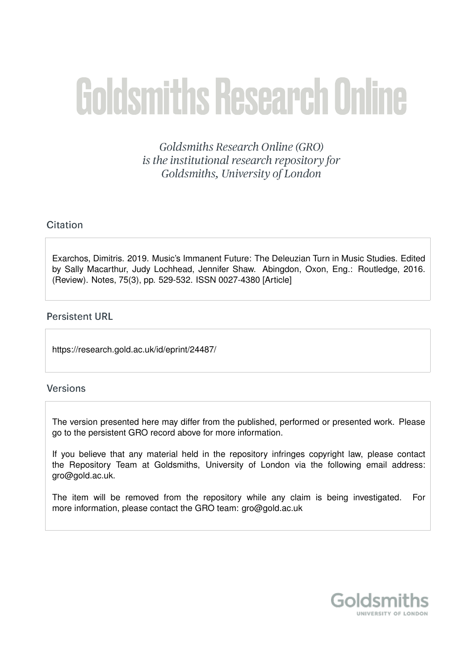## Goldsmiths Research Online

Goldsmiths Research Online (GRO) is the institutional research repository for Goldsmiths, University of London

## Citation

Exarchos, Dimitris. 2019. Music's Immanent Future: The Deleuzian Turn in Music Studies. Edited by Sally Macarthur, Judy Lochhead, Jennifer Shaw. Abingdon, Oxon, Eng.: Routledge, 2016. (Review). Notes, 75(3), pp. 529-532. ISSN 0027-4380 [Article]

## **Persistent URL**

https://research.gold.ac.uk/id/eprint/24487/

## **Versions**

The version presented here may differ from the published, performed or presented work. Please go to the persistent GRO record above for more information.

If you believe that any material held in the repository infringes copyright law, please contact the Repository Team at Goldsmiths, University of London via the following email address: gro@gold.ac.uk.

The item will be removed from the repository while any claim is being investigated. For more information, please contact the GRO team: gro@gold.ac.uk

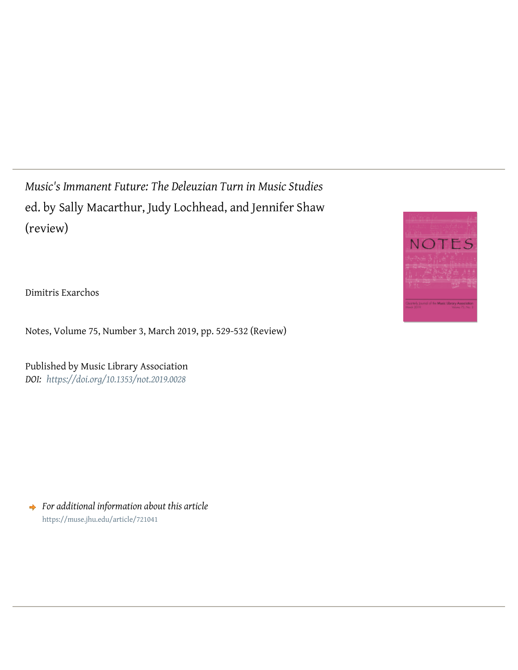*Music's Immanent Future: The Deleuzian Turn in Music Studies* ed. by Sally Macarthur, Judy Lochhead, and Jennifer Shaw (review)

Dimitris Exarchos

Notes, Volume 75, Number 3, March 2019, pp. 529-532 (Review)

Published by Music Library Association *DOI: <https://doi.org/10.1353/not.2019.0028>*

*For additional information about this article* <https://muse.jhu.edu/article/721041>

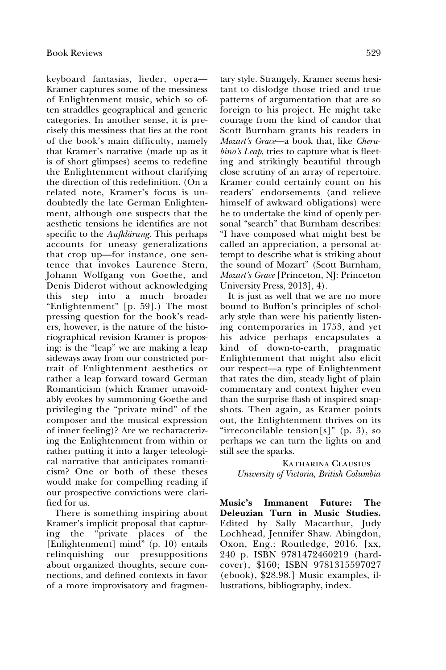keyboard fantasias, lieder, opera— Kramer captures some of the messiness of Enlightenment music, which so often straddles geographical and generic categories. In another sense, it is precisely this messiness that lies at the root of the book's main difficulty, namely that Kramer's narrative (made up as it is of short glimpses) seems to redefine the Enlightenment without clarifying the direction of this redefinition. (On a related note, Kramer's focus is undoubtedly the late German Enlightenment, although one suspects that the aesthetic tensions he identifies are not specific to the *Aufklärung*. This perhaps accounts for uneasy generalizations that crop up—for instance, one sentence that invokes Laurence Stern, Johann Wolfgang von Goethe, and Denis Diderot without acknowledging this step into a much broader "Enlighten ment" [p. 59].) The most pressing question for the book's readers, however, is the nature of the historiographical revision Kramer is proposing: is the "leap" we are making a leap sideways away from our constricted portrait of Enlightenment aesthetics or rather a leap forward toward German Romanticism (which Kramer unavoidably evokes by summoning Goethe and privileging the "private mind" of the composer and the musical expression of inner feeling)? Are we recharacterizing the Enlightenment from within or rather putting it into a larger teleological narrative that anticipates romanticism? One or both of these theses would make for compelling reading if our prospective convictions were clarified for us.

There is something inspiring about Kramer's implicit proposal that capturing the "private places of the [Enlighten ment] mind" (p. 10) entails relinquishing our presuppositions about organized thoughts, secure connections, and defined contexts in favor of a more improvisatory and fragmentary style. Strangely, Kramer seems hesitant to dislodge those tried and true patterns of argumentation that are so foreign to his project. He might take courage from the kind of candor that Scott Burnham grants his readers in *Mozart's Grace*—a book that, like *Cherubino's Leap*, tries to capture what is fleeting and strikingly beautiful through close scrutiny of an array of repertoire. Kramer could certainly count on his readers' endorsements (and relieve himself of awkward obligations) were he to undertake the kind of openly personal "search" that Burnham describes: "I have composed what might best be called an appreciation, a personal attempt to describe what is striking about the sound of Mozart" (Scott Burnham, *Mozart's Grace* [Princeton, NJ: Princeton University Press, 2013], 4).

It is just as well that we are no more bound to Buffon's principles of scholarly style than were his patiently listening contemporaries in 1753, and yet his advice perhaps encapsulates a kind of down-to-earth, pragmatic Enlighten ment that might also elicit our respect—a type of Enlightenment that rates the dim, steady light of plain commentary and context higher even than the surprise flash of inspired snapshots. Then again, as Kramer points out, the Enlightenment thrives on its "irreconcilable tension[s]" (p. 3), so perhaps we can turn the lights on and still see the sparks.

> Katharina Clausius *University of Victoria, British Columbia*

**Music's Immanent Future: The Deleuzian Turn in Music Studies.** Edited by Sally Macarthur, Judy Lochhead, Jennifer Shaw. Abingdon, Oxon, Eng.: Routledge, 2016. [xx, 240 p. ISBN 9781472460219 (hardcover), \$160; ISBN 9781315597027 (ebook), \$28.98.] Music examples, illustrations, bibliography, index.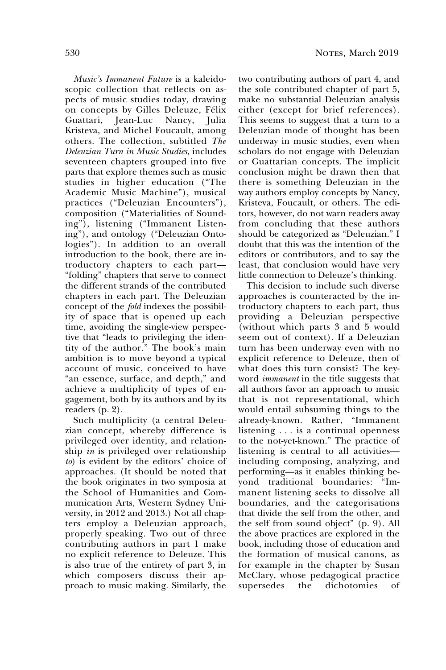*Music's Immanent Future* is a kaleidoscopic collection that reflects on aspects of music studies today, drawing on concepts by Gilles Deleuze, Félix Guattari, Jean-Luc Nancy, Julia Kristeva, and Michel Foucault, among others. The collection, subtitled *The Deleuzian Turn in Music Studies*, includes seventeen chapters grouped into five parts that explore themes such as music studies in higher education ("The Academic Music Machine"), musical practices ("Deleuzian Encounters"), composition ("Materialities of Sounding"), listening ("Immanent Listening"), and ontology ("Deleuzian Ontologies"). In addition to an overall introduction to the book, there are introductory chapters to each part— "folding" chapters that serve to connect the different strands of the contributed chapters in each part. The Deleuzian concept of the *fold* indexes the possibility of space that is opened up each time, avoiding the single-view perspective that "leads to privileging the identity of the author." The book's main ambition is to move beyond a typical account of music, conceived to have "an essence, surface, and depth," and achieve a multiplicity of types of engagement, both by its authors and by its readers (p. 2).

Such multiplicity (a central Deleuzian concept, whereby difference is privileged over identity, and relationship *in* is privileged over relationship *to*) is evident by the editors' choice of approaches. (It should be noted that the book originates in two symposia at the School of Humanities and Communication Arts, Western Sydney University, in 2012 and 2013.) Not all chapters employ a Deleuzian approach, properly speaking. Two out of three contributing authors in part 1 make no explicit reference to Deleuze. This is also true of the entirety of part 3, in which composers discuss their approach to music making. Similarly, the

two contributing authors of part 4, and the sole contributed chapter of part 5, make no substantial Deleuzian analysis either (except for brief references). This seems to suggest that a turn to a Deleuzian mode of thought has been underway in music studies, even when scholars do not engage with Deleuzian or Guattarian concepts. The implicit conclusion might be drawn then that there is something Deleuzian in the way authors employ concepts by Nancy, Kristeva, Foucault, or others. The editors, however, do not warn readers away from concluding that these authors should be categorized as "Deleuzian." I doubt that this was the intention of the editors or contributors, and to say the least, that conclusion would have very little connection to Deleuze's thinking.

This decision to include such diverse approaches is counteracted by the introductory chapters to each part, thus providing a Deleuzian perspective (without which parts 3 and 5 would seem out of context). If a Deleuzian turn has been underway even with no explicit reference to Deleuze, then of what does this turn consist? The keyword *immanent* in the title suggests that all authors favor an approach to music that is not representational, which would entail subsuming things to the already-known. Rather, "Immanent listening . . . is a continual openness to the not-yet-known." The practice of listening is central to all activities including composing, analyzing, and performing—as it enables thinking beyond traditional boundaries: "Immanent listening seeks to dissolve all boundaries, and the categorisations that divide the self from the other, and the self from sound object" (p. 9). All the above practices are explored in the book, including those of education and the formation of musical canons, as for example in the chapter by Susan McClary, whose pedagogical practice supersedes the dichotomies of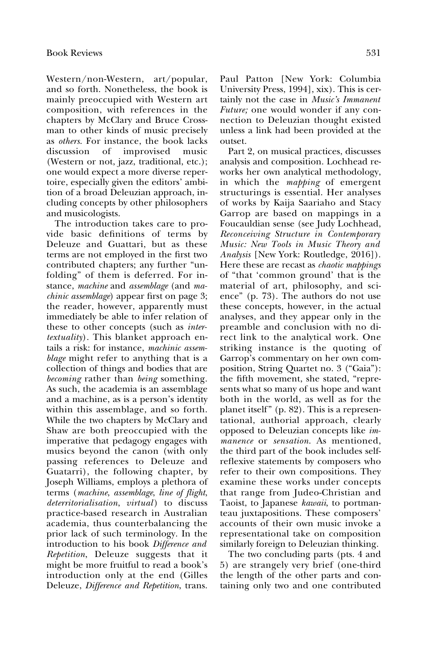Western/non-Western, art/popular, and so forth. Nonetheless, the book is mainly preoccupied with Western art composition, with references in the chapters by McClary and Bruce Crossman to other kinds of music precisely as *others*. For instance, the book lacks discussion of improvised music (Western or not, jazz, traditional, etc.); one would expect a more diverse repertoire, especially given the editors' ambition of a broad Deleuzian approach, including concepts by other philosophers and musicologists.

The introduction takes care to provide basic definitions of terms by Deleuze and Guattari, but as these terms are not employed in the first two contributed chapters; any further "unfolding" of them is deferred. For instance, *machine* and *assemblage* (and *machinic assemblage*) appear first on page 3; the reader, however, apparently must immediately be able to infer relation of these to other concepts (such as *intertextuality*). This blanket approach entails a risk: for instance, *machinic assemblage* might refer to anything that is a collection of things and bodies that are *becoming* rather than *being* something. As such, the academia is an assemblage and a machine, as is a person's identity within this assemblage, and so forth. While the two chapters by McClary and Shaw are both preoccupied with the imperative that pedagogy engages with musics beyond the canon (with only passing references to Deleuze and Guatarri), the following chapter, by Joseph Williams, employs a plethora of terms (*machine*, *assemblage*, *line of flight*, *deterritorialisation*, *virtual* ) to discuss practice-based research in Australian academia, thus counterbalancing the prior lack of such terminology. In the introduction to his book *Difference and Repetition*, Deleuze suggests that it might be more fruitful to read a book's introduction only at the end (Gilles Deleuze, *Difference and Repetition*, trans.

Paul Patton [New York: Columbia University Press, 1994], xix). This is certainly not the case in *Music's Immanent Future;* one would wonder if any connection to Deleuzian thought existed unless a link had been provided at the outset.

Part 2, on musical practices, discusses analysis and composition. Lochhead reworks her own analytical methodology, in which the *mapping* of emergent structurings is essential. Her analyses of works by Kaija Saariaho and Stacy Garrop are based on mappings in a Foucauldian sense (see Judy Lochhead, *Reconceiving Structure in Contemporary Music: New Tools in Music Theory and Analysis* [New York: Routledge, 2016]). Here these are recast as *chaotic mappings* of "that 'common ground' that is the material of art, philosophy, and science" (p. 73). The authors do not use these concepts, however, in the actual analyses, and they appear only in the preamble and conclusion with no direct link to the analytical work. One striking instance is the quoting of Garrop's commentary on her own composition, String Quartet no. 3 ("Gaia"): the fifth movement, she stated, "represents what so many of us hope and want both in the world, as well as for the planet itself" (p. 82). This is a representational, authorial approach, clearly opposed to Deleuzian concepts like *immanence* or *sensation*. As mentioned, the third part of the book includes selfreflexive statements by composers who refer to their own compositions. They examine these works under concepts that range from Judeo-Christian and Taoist, to Japanese *kawaii*, to portmanteau juxtapositions. These composers' accounts of their own music invoke a representational take on composition similarly foreign to Deleuzian thinking.

The two concluding parts (pts. 4 and 5) are strangely very brief (one-third the length of the other parts and containing only two and one contributed